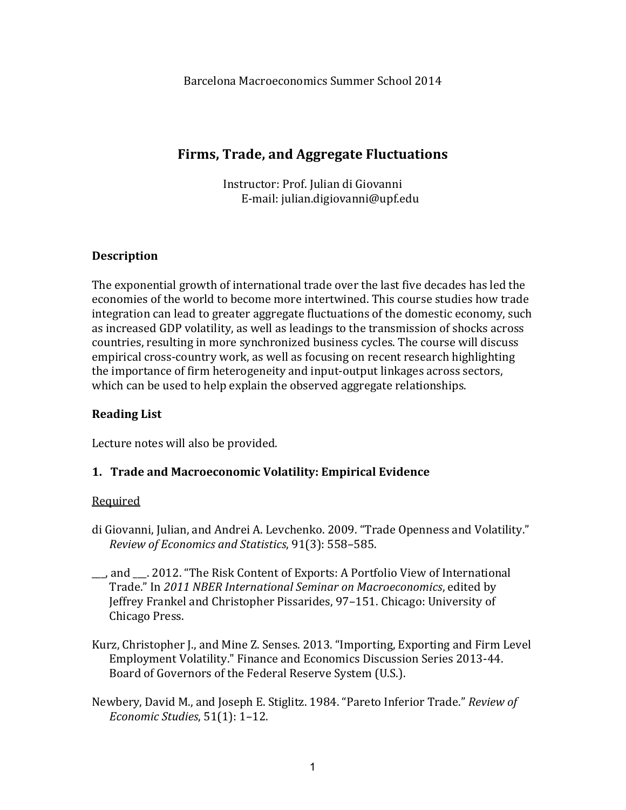# **Firms, Trade, and Aggregate Fluctuations**

Instructor: Prof. Julian di Giovanni E-mail: julian.digiovanni@upf.edu

# **Description**

The exponential growth of international trade over the last five decades has led the economies of the world to become more intertwined. This course studies how trade integration can lead to greater aggregate fluctuations of the domestic economy, such as increased GDP volatility, as well as leadings to the transmission of shocks across countries, resulting in more synchronized business cycles. The course will discuss empirical cross-country work, as well as focusing on recent research highlighting the importance of firm heterogeneity and input-output linkages across sectors, which can be used to help explain the observed aggregate relationships.

# **Reading List**

Lecture notes will also be provided.

# 1. **Trade and Macroeconomic Volatility: Empirical Evidence**

- di Giovanni, Julian, and Andrei A. Levchenko. 2009. "Trade Openness and Volatility." *Review of Economics and Statistics*, 91(3): 558–585.
- \_\_, and \_\_. 2012. "The Risk Content of Exports: A Portfolio View of International Trade." In 2011 NBER International Seminar on Macroeconomics, edited by Jeffrey Frankel and Christopher Pissarides, 97-151. Chicago: University of Chicago Press.
- Kurz, Christopher J., and Mine Z. Senses. 2013. "Importing, Exporting and Firm Level Employment Volatility." Finance and Economics Discussion Series 2013-44. Board of Governors of the Federal Reserve System (U.S.).
- Newbery, David M., and Joseph E. Stiglitz. 1984. "Pareto Inferior Trade." *Review of Economic Studies*, 51(1): 1-12.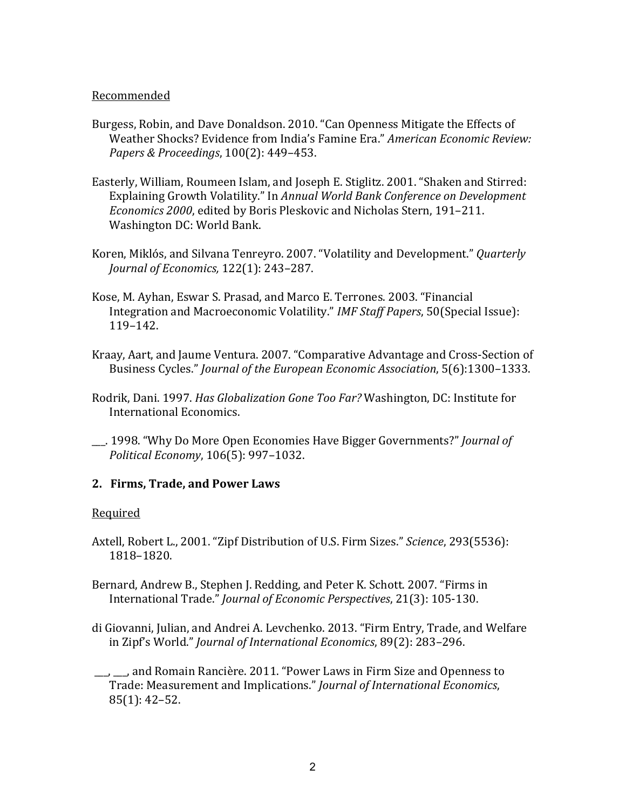#### Recommended

- Burgess, Robin, and Dave Donaldson. 2010. "Can Openness Mitigate the Effects of Weather Shocks? Evidence from India's Famine Era." *American Economic Review: Papers & Proceedings*, 100(2): 449–453.
- Easterly, William, Roumeen Islam, and Joseph E. Stiglitz. 2001. "Shaken and Stirred: Explaining Growth Volatility." In *Annual World Bank Conference on Development Economics 2000*, edited by Boris Pleskovic and Nicholas Stern, 191-211. Washington DC: World Bank.
- Koren, Miklós, and Silvana Tenreyro. 2007. "Volatility and Development." *Quarterly Journal of Economics,* 122(1): 243-287.
- Kose, M. Ayhan, Eswar S. Prasad, and Marco E. Terrones. 2003. "Financial Integration and Macroeconomic Volatility." *IMF Staff Papers*, 50(Special Issue): 119–142.
- Kraay, Aart, and Jaume Ventura. 2007. "Comparative Advantage and Cross-Section of Business Cycles." *Journal of the European Economic Association*, 5(6):1300-1333.
- Rodrik, Dani. 1997. *Has Globalization Gone Too Far?* Washington, DC: Institute for International Economics.
- \_\_\_. 1998. "Why Do More Open Economies Have Bigger Governments?" *Journal of Political Economy*, 106(5): 997–1032.

#### **2. Firms, Trade, and Power Laws**

- Axtell, Robert L., 2001. "Zipf Distribution of U.S. Firm Sizes." *Science*, 293(5536): 1818–1820.
- Bernard, Andrew B., Stephen J. Redding, and Peter K. Schott. 2007. "Firms in International Trade." *Journal of Economic Perspectives*, 21(3): 105-130.
- di Giovanni, Julian, and Andrei A. Levchenko. 2013. "Firm Entry, Trade, and Welfare in Zipf's World." *Journal of International Economics*, 89(2): 283-296.
- \_\_\_, \_\_\_, and Romain Rancière. 2011. "Power Laws in Firm Size and Openness to Trade: Measurement and Implications." *Journal of International Economics*,  $85(1): 42-52.$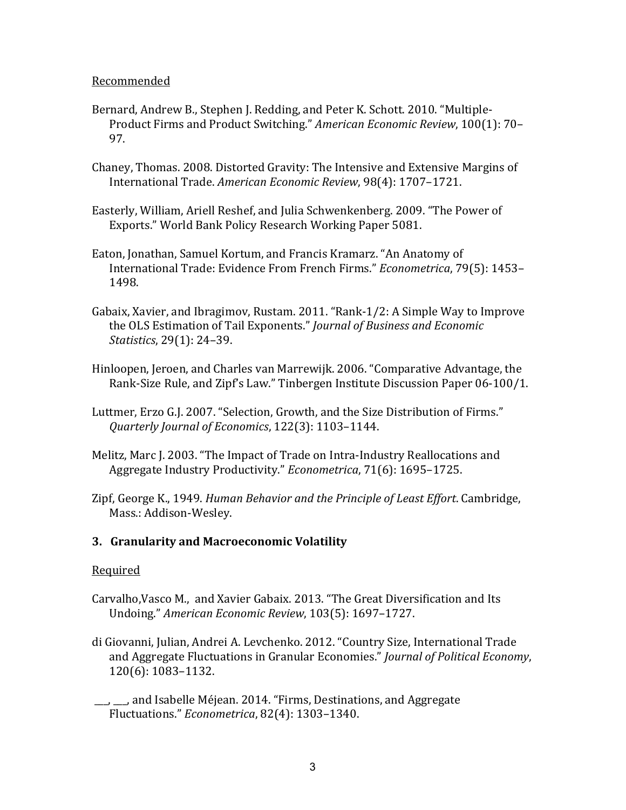#### Recommended

- Bernard, Andrew B., Stephen J. Redding, and Peter K. Schott. 2010. "Multiple-Product Firms and Product Switching." *American Economic Review*, 100(1): 70– 97.
- Chaney, Thomas. 2008. Distorted Gravity: The Intensive and Extensive Margins of International Trade. *American Economic Review*, 98(4): 1707–1721.
- Easterly, William, Ariell Reshef, and Julia Schwenkenberg. 2009. "The Power of Exports." World Bank Policy Research Working Paper 5081.
- Eaton, Jonathan, Samuel Kortum, and Francis Kramarz. "An Anatomy of International Trade: Evidence From French Firms." *Econometrica*, 79(5): 1453– 1498.
- Gabaix, Xavier, and Ibragimov, Rustam. 2011. "Rank-1/2: A Simple Way to Improve the OLS Estimation of Tail Exponents." *Journal of Business and Economic Statistics*, 29(1): 24–39.
- Hinloopen, Jeroen, and Charles van Marrewijk. 2006. "Comparative Advantage, the Rank-Size Rule, and Zipf's Law." Tinbergen Institute Discussion Paper 06-100/1.
- Luttmer, Erzo G.J. 2007. "Selection, Growth, and the Size Distribution of Firms." *Quarterly Journal of Economics*, 122(3): 1103–1144.
- Melitz, Marc J. 2003. "The Impact of Trade on Intra-Industry Reallocations and Aggregate Industry Productivity." *Econometrica*, 71(6): 1695-1725.
- Zipf, George K., 1949. *Human Behavior and the Principle of Least Effort*. Cambridge, Mass.: Addison-Wesley.

## **3. Granularity and Macroeconomic Volatility**

- Carvalho, Vasco M., and Xavier Gabaix. 2013. "The Great Diversification and Its Undoing." *American Economic Review*, 103(5): 1697–1727.
- di Giovanni, Julian, Andrei A. Levchenko. 2012. "Country Size, International Trade and Aggregate Fluctuations in Granular Economies." *Journal of Political Economy*, 120(6): 1083–1132.
- <u>\_\_</u>, \_\_, and Isabelle Méjean. 2014. "Firms, Destinations, and Aggregate Fluctuations." *Econometrica*, 82(4): 1303-1340.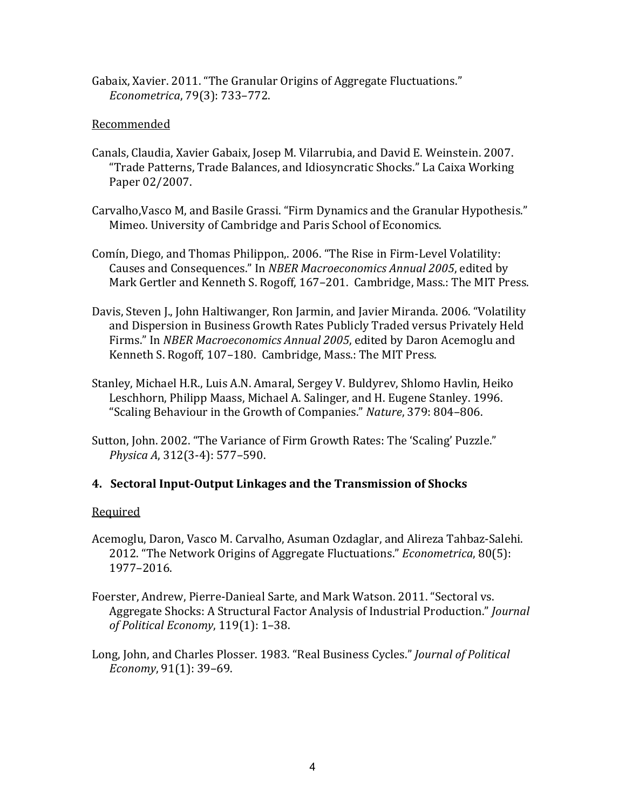Gabaix, Xavier. 2011. "The Granular Origins of Aggregate Fluctuations." *Econometrica*, 79(3): 733–772.

## Recommended

- Canals, Claudia, Xavier Gabaix, Josep M. Vilarrubia, and David E. Weinstein. 2007. "Trade Patterns, Trade Balances, and Idiosyncratic Shocks." La Caixa Working Paper 02/2007.
- Carvalho, Vasco M, and Basile Grassi. "Firm Dynamics and the Granular Hypothesis." Mimeo. University of Cambridge and Paris School of Economics.
- Comín, Diego, and Thomas Philippon,. 2006. "The Rise in Firm-Level Volatility: Causes and Consequences." In *NBER Macroeconomics Annual 2005*, edited by Mark Gertler and Kenneth S. Rogoff, 167–201. Cambridge, Mass.: The MIT Press.
- Davis, Steven J., John Haltiwanger, Ron Jarmin, and Javier Miranda. 2006. "Volatility and Dispersion in Business Growth Rates Publicly Traded versus Privately Held Firms." In *NBER Macroeconomics Annual 2005*, edited by Daron Acemoglu and Kenneth S. Rogoff, 107-180. Cambridge, Mass.: The MIT Press.
- Stanley, Michael H.R., Luis A.N. Amaral, Sergey V. Buldyrev, Shlomo Havlin, Heiko Leschhorn, Philipp Maass, Michael A. Salinger, and H. Eugene Stanley. 1996. "Scaling Behaviour in the Growth of Companies." *Nature*, 379: 804–806.
- Sutton, John. 2002. "The Variance of Firm Growth Rates: The 'Scaling' Puzzle." *Physica A, 312(3-4): 577-590.*

# **4.** Sectoral Input-Output Linkages and the Transmission of Shocks

- Acemoglu, Daron, Vasco M. Carvalho, Asuman Ozdaglar, and Alireza Tahbaz-Salehi. 2012. "The Network Origins of Aggregate Fluctuations." *Econometrica*, 80(5): 1977–2016.
- Foerster, Andrew, Pierre-Danieal Sarte, and Mark Watson. 2011. "Sectoral vs. Aggregate Shocks: A Structural Factor Analysis of Industrial Production." *Journal of Political Economy*, 119(1): 1–38.
- Long, John, and Charles Plosser. 1983. "Real Business Cycles." *Journal of Political Economy*, 91(1): 39-69.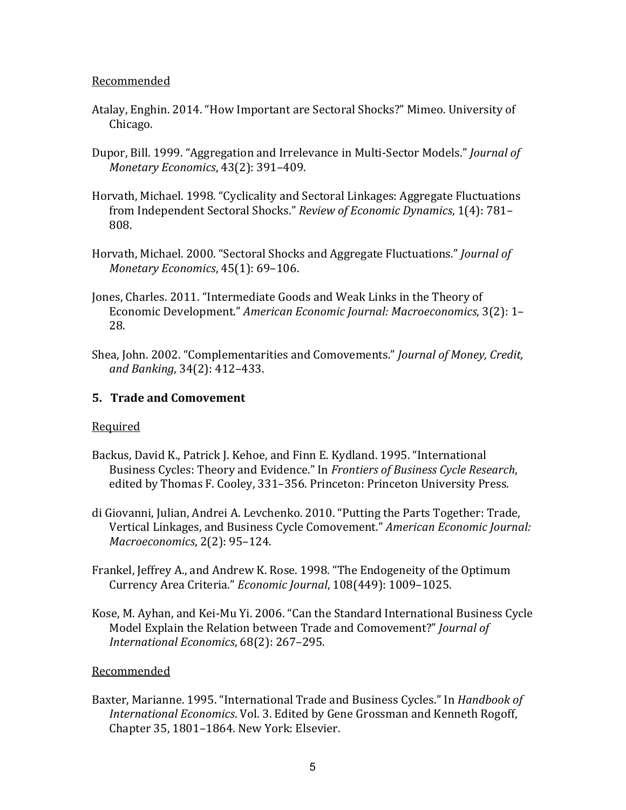#### Recommended

- Atalay, Enghin. 2014. "How Important are Sectoral Shocks?" Mimeo. University of Chicago.
- Dupor, Bill. 1999. "Aggregation and Irrelevance in Multi-Sector Models." *Journal of Monetary Economics*, 43(2): 391-409.
- Horvath, Michael. 1998. "Cyclicality and Sectoral Linkages: Aggregate Fluctuations from Independent Sectoral Shocks." Review of Economic Dynamics, 1(4): 781-808.
- Horvath, Michael. 2000. "Sectoral Shocks and Aggregate Fluctuations." *Journal of Monetary Economics*, 45(1): 69-106.
- Jones, Charles. 2011. "Intermediate Goods and Weak Links in the Theory of Economic Development." American Economic Journal: Macroeconomics, 3(2): 1-28.
- Shea, John. 2002. "Complementarities and Comovements." *Journal of Money, Credit, and Banking*, 34(2): 412–433.

## **5. Trade and Comovement**

## Required

- Backus, David K., Patrick J. Kehoe, and Finn E. Kydland. 1995. "International Business Cycles: Theory and Evidence." In *Frontiers of Business Cycle Research*, edited by Thomas F. Cooley, 331-356. Princeton: Princeton University Press.
- di Giovanni, Julian, Andrei A. Levchenko. 2010. "Putting the Parts Together: Trade, Vertical Linkages, and Business Cycle Comovement." American Economic Journal: *Macroeconomics*, 2(2): 95-124.
- Frankel, Jeffrey A., and Andrew K. Rose. 1998. "The Endogeneity of the Optimum Currency Area Criteria." *Economic Journal*, 108(449): 1009–1025.
- Kose, M. Ayhan, and Kei-Mu Yi. 2006. "Can the Standard International Business Cycle Model Explain the Relation between Trade and Comovement?" *Journal of International Economics*, 68(2): 267-295.

## Recommended

Baxter, Marianne. 1995. "International Trade and Business Cycles." In *Handbook of International Economics*. Vol. 3. Edited by Gene Grossman and Kenneth Rogoff, Chapter 35, 1801-1864. New York: Elsevier.